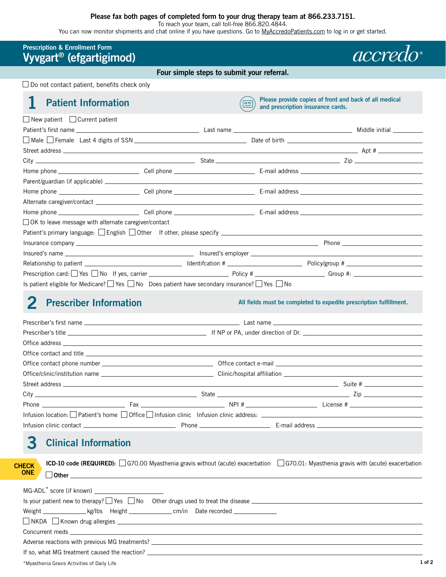#### **Please fax both pages of completed form to your drug therapy team at 866.233.7151.**

To reach your team, call toll-free 866.820.4844.

You can now monitor shipments and chat online if you have questions. Go to [MyAccredoPatients.com](https://MyAccredoPatients.com) to log in or get started.

| <b>Prescription &amp; Enrollment Form</b><br>Vyvgart <sup>®</sup> (efgartigimod)                                                                                                                                               |  |                                            |                                   | accred                                                                                                                            |
|--------------------------------------------------------------------------------------------------------------------------------------------------------------------------------------------------------------------------------|--|--------------------------------------------|-----------------------------------|-----------------------------------------------------------------------------------------------------------------------------------|
|                                                                                                                                                                                                                                |  | Four simple steps to submit your referral. |                                   |                                                                                                                                   |
| $\Box$ Do not contact patient, benefits check only                                                                                                                                                                             |  |                                            |                                   |                                                                                                                                   |
| <b>Patient Information</b>                                                                                                                                                                                                     |  |                                            | and prescription insurance cards. | Please provide copies of front and back of all medical                                                                            |
| $\Box$ New patient $\Box$ Current patient                                                                                                                                                                                      |  |                                            |                                   |                                                                                                                                   |
|                                                                                                                                                                                                                                |  |                                            |                                   |                                                                                                                                   |
|                                                                                                                                                                                                                                |  |                                            |                                   |                                                                                                                                   |
|                                                                                                                                                                                                                                |  |                                            |                                   |                                                                                                                                   |
|                                                                                                                                                                                                                                |  |                                            |                                   |                                                                                                                                   |
|                                                                                                                                                                                                                                |  |                                            |                                   |                                                                                                                                   |
|                                                                                                                                                                                                                                |  |                                            |                                   |                                                                                                                                   |
|                                                                                                                                                                                                                                |  |                                            |                                   |                                                                                                                                   |
|                                                                                                                                                                                                                                |  |                                            |                                   |                                                                                                                                   |
|                                                                                                                                                                                                                                |  |                                            |                                   |                                                                                                                                   |
| □ OK to leave message with alternate caregiver/contact                                                                                                                                                                         |  |                                            |                                   |                                                                                                                                   |
|                                                                                                                                                                                                                                |  |                                            |                                   |                                                                                                                                   |
|                                                                                                                                                                                                                                |  |                                            |                                   |                                                                                                                                   |
|                                                                                                                                                                                                                                |  |                                            |                                   |                                                                                                                                   |
|                                                                                                                                                                                                                                |  |                                            |                                   |                                                                                                                                   |
| Prescription card: Ves No If yes, carrier Ves Notice + 2010 Policy # Ves Notice + 2010 Policy + 2010 Policy + 2010 Policy + 2010 Policy + 2010 Policy + 2010 Policy + 2010 Policy + 2010 Policy + 2010 Policy + 2010 Policy +  |  |                                            |                                   |                                                                                                                                   |
|                                                                                                                                                                                                                                |  |                                            |                                   |                                                                                                                                   |
|                                                                                                                                                                                                                                |  |                                            |                                   |                                                                                                                                   |
|                                                                                                                                                                                                                                |  |                                            |                                   |                                                                                                                                   |
|                                                                                                                                                                                                                                |  |                                            |                                   |                                                                                                                                   |
|                                                                                                                                                                                                                                |  |                                            |                                   |                                                                                                                                   |
|                                                                                                                                                                                                                                |  |                                            |                                   |                                                                                                                                   |
|                                                                                                                                                                                                                                |  |                                            |                                   |                                                                                                                                   |
|                                                                                                                                                                                                                                |  |                                            |                                   |                                                                                                                                   |
| Infusion location: Patient's home $\Box$ Office $\Box$ Infusion clinic Infusion clinic address: $\Box$                                                                                                                         |  |                                            |                                   |                                                                                                                                   |
|                                                                                                                                                                                                                                |  |                                            |                                   |                                                                                                                                   |
| <b>Clinical Information</b><br>З                                                                                                                                                                                               |  |                                            |                                   |                                                                                                                                   |
|                                                                                                                                                                                                                                |  |                                            |                                   |                                                                                                                                   |
| <b>CHECK</b>                                                                                                                                                                                                                   |  |                                            |                                   | ICD-10 code (REQUIRED): G70.00 Myasthenia gravis without (acute) exacerbation G70.01: Myasthenia gravis with (acute) exacerbation |
| <b>ONE</b>                                                                                                                                                                                                                     |  |                                            |                                   |                                                                                                                                   |
|                                                                                                                                                                                                                                |  |                                            |                                   |                                                                                                                                   |
| MG-ADL <sup>*</sup> score (if known) __________________________                                                                                                                                                                |  |                                            |                                   |                                                                                                                                   |
| Is your patient new to therapy? $\Box$ Yes $\Box$ No Other drugs used to treat the disease $\Box$                                                                                                                              |  |                                            |                                   |                                                                                                                                   |
|                                                                                                                                                                                                                                |  |                                            |                                   |                                                                                                                                   |
|                                                                                                                                                                                                                                |  |                                            |                                   |                                                                                                                                   |
| Concurrent meds and the contract of the contract of the contract of the contract of the concurrent meds and the contract of the contract of the contract of the contract of the contract of the contract of the contract of th |  |                                            |                                   |                                                                                                                                   |
|                                                                                                                                                                                                                                |  |                                            |                                   |                                                                                                                                   |
|                                                                                                                                                                                                                                |  |                                            |                                   |                                                                                                                                   |
| *Myasthenia Gravis Activities of Daily Life                                                                                                                                                                                    |  |                                            |                                   | $1$ of $2$                                                                                                                        |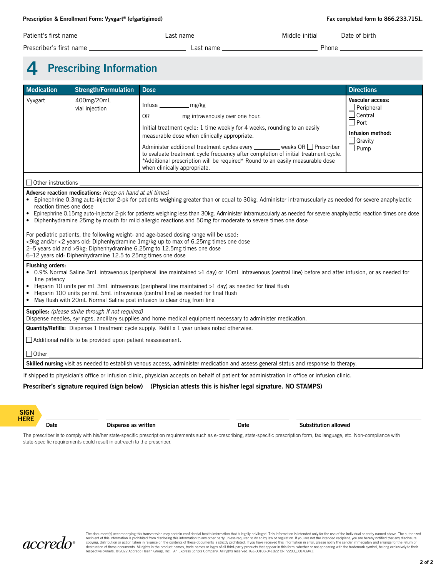| Patient's first name    | ∟ast name | Middle initial | Date of birth |
|-------------------------|-----------|----------------|---------------|
| Prescriber's first name | ∟ast name | Phone          |               |

## **4 Prescribing Information**

| Medication                                                                                                                                                                                                                                                                                                                                                                                                                                                                                                                                                                                                                                                                                                                                                                                                                                                  | <b>Strength/Formulation</b>                                         | <b>Dose</b>                                                                                                                                                                                                                                                                       | <b>Directions</b>                         |  |  |
|-------------------------------------------------------------------------------------------------------------------------------------------------------------------------------------------------------------------------------------------------------------------------------------------------------------------------------------------------------------------------------------------------------------------------------------------------------------------------------------------------------------------------------------------------------------------------------------------------------------------------------------------------------------------------------------------------------------------------------------------------------------------------------------------------------------------------------------------------------------|---------------------------------------------------------------------|-----------------------------------------------------------------------------------------------------------------------------------------------------------------------------------------------------------------------------------------------------------------------------------|-------------------------------------------|--|--|
| Vyvgart                                                                                                                                                                                                                                                                                                                                                                                                                                                                                                                                                                                                                                                                                                                                                                                                                                                     | 400mg/20mL<br>vial injection                                        | Infuse ______________ mg/kg<br>OR _______________ mg intravenously over one hour.                                                                                                                                                                                                 | Vascular access:<br>Peripheral<br>Central |  |  |
|                                                                                                                                                                                                                                                                                                                                                                                                                                                                                                                                                                                                                                                                                                                                                                                                                                                             |                                                                     | Initial treatment cycle: 1 time weekly for 4 weeks, rounding to an easily<br>measurable dose when clinically appropriate.                                                                                                                                                         | Port<br>Infusion method:<br>Gravity       |  |  |
|                                                                                                                                                                                                                                                                                                                                                                                                                                                                                                                                                                                                                                                                                                                                                                                                                                                             |                                                                     | Administer additional treatment cycles every _______ weeks OR D Prescriber<br>to evaluate treatment cycle frequency after completion of initial treatment cycle.<br>*Additional prescription will be required* Round to an easily measurable dose<br>when clinically appropriate. | Pump                                      |  |  |
|                                                                                                                                                                                                                                                                                                                                                                                                                                                                                                                                                                                                                                                                                                                                                                                                                                                             |                                                                     |                                                                                                                                                                                                                                                                                   |                                           |  |  |
| Adverse reaction medications: (keep on hand at all times)<br>Epinephrine 0.3mg auto-injector 2-pk for patients weighing greater than or equal to 30kg. Administer intramuscularly as needed for severe anaphylactic<br>reaction times one dose<br>Epinephrine 0.15mg auto-injector 2-pk for patients weighing less than 30kg. Administer intramuscularly as needed for severe anaphylactic reaction times one dose<br>• Diphenhydramine 25mg by mouth for mild allergic reactions and 50mg for moderate to severe times one dose<br>For pediatric patients, the following weight- and age-based dosing range will be used:<br><9kg and/or <2 years old: Diphenhydramine 1mg/kg up to max of 6.25mg times one dose<br>2-5 years old and >9kg: Diphenhydramine 6.25mg to 12.5mg times one dose<br>6-12 years old: Diphenhydramine 12.5 to 25mg times one dose |                                                                     |                                                                                                                                                                                                                                                                                   |                                           |  |  |
| <b>Flushing orders:</b><br>• 0.9% Normal Saline 3mL intravenous (peripheral line maintained >1 day) or 10mL intravenous (central line) before and after infusion, or as needed for<br>line patency<br>• Heparin 10 units per mL 3mL intravenous (peripheral line maintained $>1$ day) as needed for final flush<br>Heparin 100 units per mL 5mL intravenous (central line) as needed for final flush<br>$\bullet$<br>May flush with 20mL Normal Saline post infusion to clear drug from line                                                                                                                                                                                                                                                                                                                                                                |                                                                     |                                                                                                                                                                                                                                                                                   |                                           |  |  |
|                                                                                                                                                                                                                                                                                                                                                                                                                                                                                                                                                                                                                                                                                                                                                                                                                                                             | Supplies: (please strike through if not required)                   | Dispense needles, syringes, ancillary supplies and home medical equipment necessary to administer medication.                                                                                                                                                                     |                                           |  |  |
| <b>Quantity/Refills:</b> Dispense 1 treatment cycle supply. Refill x 1 year unless noted otherwise.                                                                                                                                                                                                                                                                                                                                                                                                                                                                                                                                                                                                                                                                                                                                                         |                                                                     |                                                                                                                                                                                                                                                                                   |                                           |  |  |
|                                                                                                                                                                                                                                                                                                                                                                                                                                                                                                                                                                                                                                                                                                                                                                                                                                                             | $\Box$ Additional refills to be provided upon patient reassessment. |                                                                                                                                                                                                                                                                                   |                                           |  |  |
| $\Box$ Other $\_\_$                                                                                                                                                                                                                                                                                                                                                                                                                                                                                                                                                                                                                                                                                                                                                                                                                                         |                                                                     |                                                                                                                                                                                                                                                                                   |                                           |  |  |
| Skilled nursing visit as needed to establish venous access, administer medication and assess general status and response to therapy.                                                                                                                                                                                                                                                                                                                                                                                                                                                                                                                                                                                                                                                                                                                        |                                                                     |                                                                                                                                                                                                                                                                                   |                                           |  |  |
|                                                                                                                                                                                                                                                                                                                                                                                                                                                                                                                                                                                                                                                                                                                                                                                                                                                             |                                                                     | If shipped to physician's office or infusion clinic, physician accepts on behalf of patient for administration in office or infusion clinic.                                                                                                                                      |                                           |  |  |

#### **Prescriber's signature required (sign below) (Physician attests this is his/her legal signature. NO STAMPS)**



**Date Dispense as written Dispense as written Dispense as written Dispense as written Dispense as written Dispense as written Dispense as written Dispense as written Dispense as written Dispense as writ** 

The prescriber is to comply with his/her state-specific prescription requirements such as e-prescribing, state-specific prescription form, fax language, etc. Non-compliance with state-specific requirements could result in outreach to the prescriber.



The document(s) accompanying this transmission may contain confidential health information that is legally privileged. This information is prohibited from disclosing this information is contained above. The use of the indi